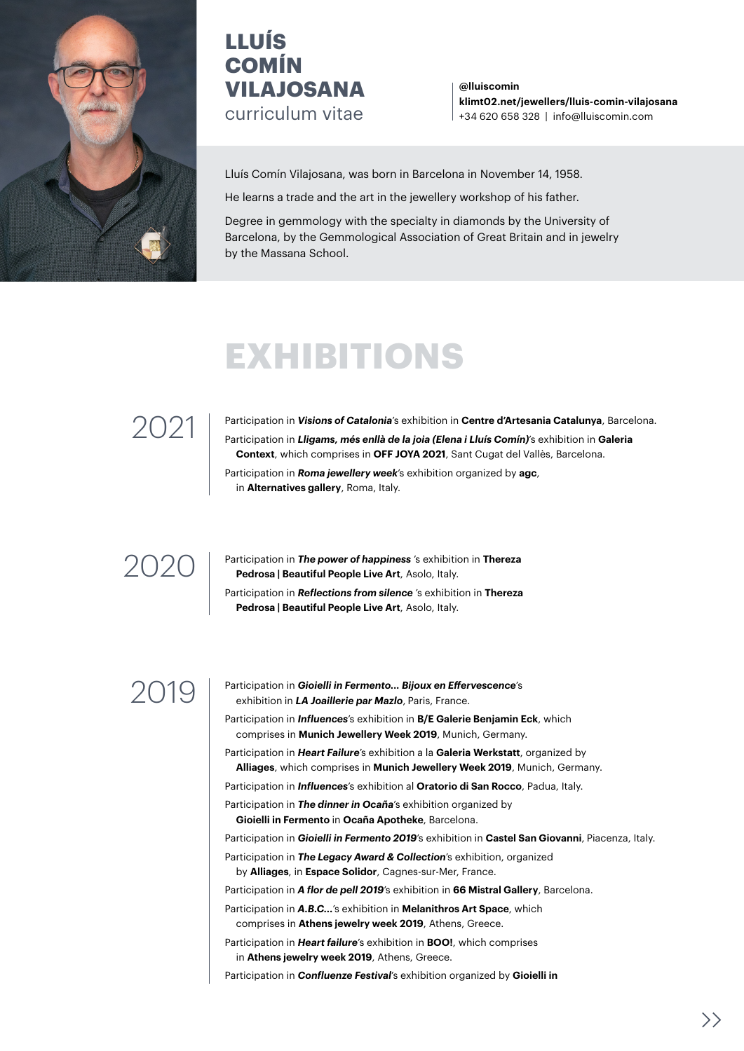

### **LLUÍS COMÍN VILAJOSANA** curriculum vitae

**[@lluiscomin](https://www.instagram.com/lluiscomin/) [klimt02.net/jewellers/lluis-comin-vilajosana](https://klimt02.net/jewellers/lluis-comin-vilajosana)** +34 620 658 328 | info@lluiscomin.com

Lluís Comín Vilajosana, was born in Barcelona in November 14, 1958.

He learns a trade and the art in the jewellery workshop of his father.

Degree in gemmology with the specialty in diamonds by the University of Barcelona, by the Gemmological Association of Great Britain and in jewelry by the Massana School.

# **EXHIBITIONS**

## 2021

Participation in *[Visions of Catalonia](http://visionsofcatalonia.com/es/)*'s exhibition in **[Centre d'Artesania Catalunya](http://ccam.gencat.cat/ca/arees_actuacio/artesania/centre_artesania/)**, Barcelona. Participation in *[Lligams, més enllà de la joia \(Elena i Lluís Comín\)](http://www.context.cat/13219/activitat/63#.YZ9g7vHMIy8)*'s exhibition in **[Galeria](http://www.context.cat/)  [Context](http://www.context.cat/)**, which comprises in **[OFF JOYA 2021](https://joyabarcelona.com/off-2021/)**, Sant Cugat del Vallès, Barcelona. Participation in *[Roma jewellery week](https://www.romajewelryweek.com/)*'s exhibition organized by **[agc](https://www.agc-it.org/it/)**,

in **[Alternatives gallery](https://alternatives.it/index.php/it/eventi/spotlight-it)**, Roma, Italy.

### 2020

Participation in *[The power of happiness](https://www.therezapedrosa.com/the-power-of-happiness-collective-exhibition/)* 's exhibition in **[Thereza](https://www.facebook.com/BeautifulPeopleLiveArt/?eid=ARCf_XuHLuI_-88bN3xouAjeQ6GA-raTcFPcxyS9E5Pkp0P5rYLw1j4A7i_c53MCEeKPtXMSUiULUhzC)  [Pedrosa | Beautiful People Live Art](https://www.facebook.com/BeautifulPeopleLiveArt/?eid=ARCf_XuHLuI_-88bN3xouAjeQ6GA-raTcFPcxyS9E5Pkp0P5rYLw1j4A7i_c53MCEeKPtXMSUiULUhzC)**, Asolo, Italy. Participation in *[Reflections from silence](https://www.therezapedrosa.com/reflections-from-silence-lluis-comin/)* 's exhibition in **[Thereza](https://www.facebook.com/BeautifulPeopleLiveArt/?eid=ARCf_XuHLuI_-88bN3xouAjeQ6GA-raTcFPcxyS9E5Pkp0P5rYLw1j4A7i_c53MCEeKPtXMSUiULUhzC)  [Pedrosa | Beautiful People Live Art](https://www.facebook.com/BeautifulPeopleLiveArt/?eid=ARCf_XuHLuI_-88bN3xouAjeQ6GA-raTcFPcxyS9E5Pkp0P5rYLw1j4A7i_c53MCEeKPtXMSUiULUhzC)**, Asolo, Italy.

2019 Participation in *Gioielli in Fermento... Bijoux en Effervescence*'s exhibition in *LA Joaillerie par Mazlo*, Paris, France.

- Participation in *Influences*'s exhibition in **B/E Galerie Benjamin Eck**, which comprises in **Munich Jewellery Week 2019**, Munich, Germany.
- Participation in *Heart Failure*'s exhibition a la **Galeria Werkstatt**, organized by **Alliages**, which comprises in **Munich Jewellery Week 2019**, Munich, Germany.
- Participation in *Influences*'s exhibition al **Oratorio di San Rocco**, Padua, Italy.
- Participation in *The dinner in Ocaña*'s exhibition organized by **Gioielli in Fermento** in **Ocaña Apotheke**, Barcelona.

Participation in *Gioielli in Fermento 2019*'s exhibition in **Castel San Giovanni**, Piacenza, Italy.

Participation in *The Legacy Award & Collection*'s exhibition, organized by **Alliages**, in **Espace Solidor**, Cagnes-sur-Mer, France.

Participation in *A flor de pell 2019*'s exhibition in **66 Mistral Gallery**, Barcelona.

Participation in *A.B.C...*'s exhibition in **Melanithros Art Space**, which comprises in **Athens jewelry week 2019**, Athens, Greece.

Participation in *Heart failure*'s exhibition in **BOO!**, which comprises in **Athens jewelry week 2019**, Athens, Greece.

Participation in *Confluenze Festival*'s exhibition organized by **Gioielli in**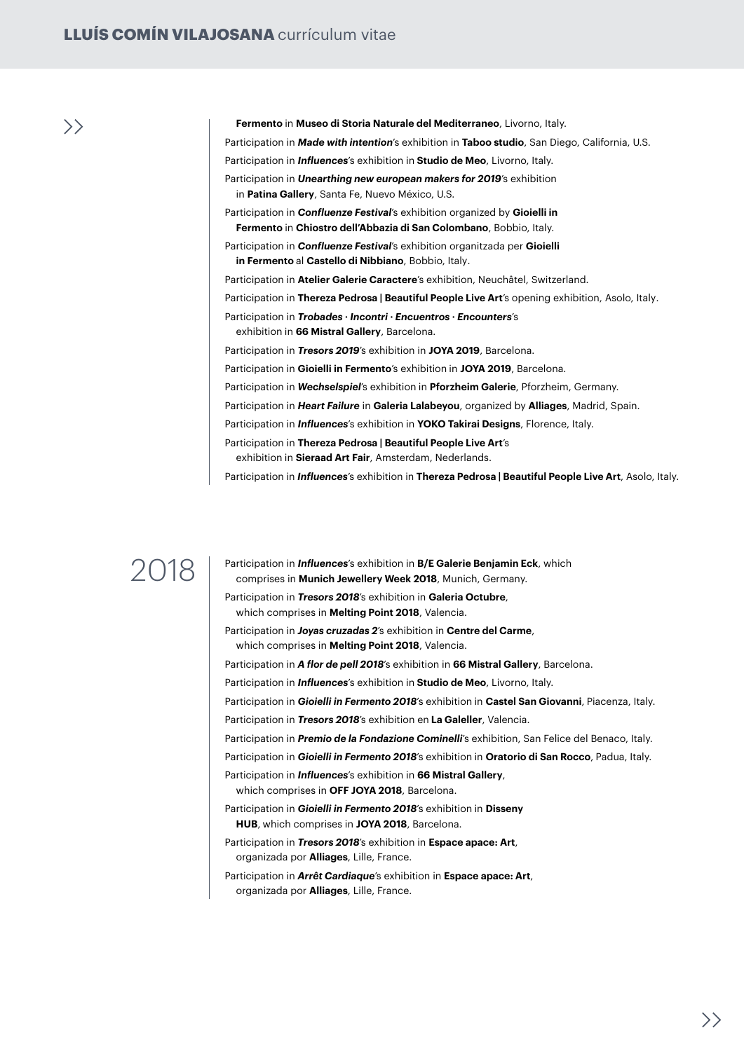**Fermento** in **Museo di Storia Naturale del Mediterraneo**, Livorno, Italy. Participation in *Made with intention*'s exhibition in **Taboo studio**, San Diego, California, U.S. Participation in *Influences*'s exhibition in **Studio de Meo**, Livorno, Italy. Participation in *Unearthing new european makers for 2019*'s exhibition in **Patina Gallery**, Santa Fe, Nuevo México, U.S. Participation in *Confluenze Festival*'s exhibition organized by **Gioielli in Fermento** in **Chiostro dell'Abbazia di San Colombano**, Bobbio, Italy. Participation in *Confluenze Festival*'s exhibition organitzada per **Gioielli in Fermento** al **[Castello di Nibbiano](https://www.facebook.com/events/335852700676397/)**, Bobbio, Italy. Participation in **[Atelier Galerie Caractere](https://galeriecaractere.com/)**'s exhibition, Neuchâtel, Switzerland. Participation in **[Thereza Pedrosa | Beautiful People Live Art](https://www.facebook.com/BeautifulPeopleLiveArt/?eid=ARCf_XuHLuI_-88bN3xouAjeQ6GA-raTcFPcxyS9E5Pkp0P5rYLw1j4A7i_c53MCEeKPtXMSUiULUhzC)**'s opening exhibition, Asolo, Italy. Participation in *[Trobades · Incontri · Encuentros · Encounters](https://www.facebook.com/events/397675857613175/)*'s exhibition in **66 Mistral Gallery**, Barcelona. Participation in *[Tresors 2019](https://www.facebook.com/TresorsContemporaryCatalanJewellery/)*'s exhibition in **[JOYA 2019](http://preview.joyabarcelona.com/)**, Barcelona. Participation in **[Gioielli in Fermento](https://gioiellinfermento.com/2019/09/24/barcelona-2019/)**'s exhibition in **[JOYA 2019](http://preview.joyabarcelona.com/)**, Barcelona. Participation in *[Wechselspiel](https://www.luziavogt.ch/news.html)*'s exhibition in **[Pforzheim Galerie](https://www.pforzheim.de/pforzheim-galerie.html)**, Pforzheim, Germany. Participation in *[Heart Failure](https://alliages.org/heart-failure-in-madrid)* in **[Galeria](https://www.lalabeyou.com/) Lalabeyou**, organized by **Alliages**, Madrid, Spain. Participation in *[Influences](https://art925.wordpress.com/2019/11/01/influences-contemporary-jewelry-exhibit-in-florence/)*'s exhibition in **[YOKO Takirai Designs](http://www.yokotakirai.com/)**, Florence, Italy. Participation in **[Thereza Pedrosa | Beautiful People Live Art](https://www.sieraadartfair.com/participants-2019/)**'s exhibition in **[Sieraad Art Fair](https://www.sieraadartfair.com/)**, Amsterdam, Nederlands. Participation in *[Influences](https://www.facebook.com/events/2180627592037113/)*'s exhibition in **[Thereza Pedrosa | Beautiful People Live Art](https://www.facebook.com/BeautifulPeopleLiveArt/?eid=ARCf_XuHLuI_-88bN3xouAjeQ6GA-raTcFPcxyS9E5Pkp0P5rYLw1j4A7i_c53MCEeKPtXMSUiULUhzC)**, Asolo, Italy.

2018 Participation in *Influences*'s exhibition in **B/E Galerie Benjamin Eck**, which comprises in **Munich Jewellery Week 2018**, Munich, Germany.

> Participation in *Tresors 2018*'s exhibition in **Galeria Octubre**, which comprises in **Melting Point 2018**, Valencia.

Participation in *Joyas cruzadas 2*'s exhibition in **Centre del Carme**, which comprises in **Melting Point 2018**, Valencia.

Participation in *A flor de pell 2018*'s exhibition in **66 Mistral Gallery**, Barcelona.

Participation in *Influences*'s exhibition in **Studio de Meo**, Livorno, Italy.

Participation in *Gioielli in Fermento 2018*'s exhibition in **Castel San Giovanni**, Piacenza, Italy.

Participation in *Tresors 2018*'s exhibition en **La Galeller**, Valencia.

Participation in *Premio de la Fondazione Cominelli*'s exhibition, San Felice del Benaco, Italy.

Participation in *Gioielli in Fermento 2018*'s exhibition in **Oratorio di San Rocco**, Padua, Italy.

Participation in *Influences*'s exhibition in **66 Mistral Gallery**,

which comprises in **OFF JOYA 2018**, Barcelona.

Participation in *Gioielli in Fermento 2018*'s exhibition in **Disseny HUB**, which comprises in **JOYA 2018**, Barcelona.

Participation in *Tresors 2018*'s exhibition in **Espace apace: Art**, organizada por **Alliages**, Lille, France.

Participation in *Arrêt Cardiaque*'s exhibition in **Espace apace: Art**, organizada por **Alliages**, Lille, France.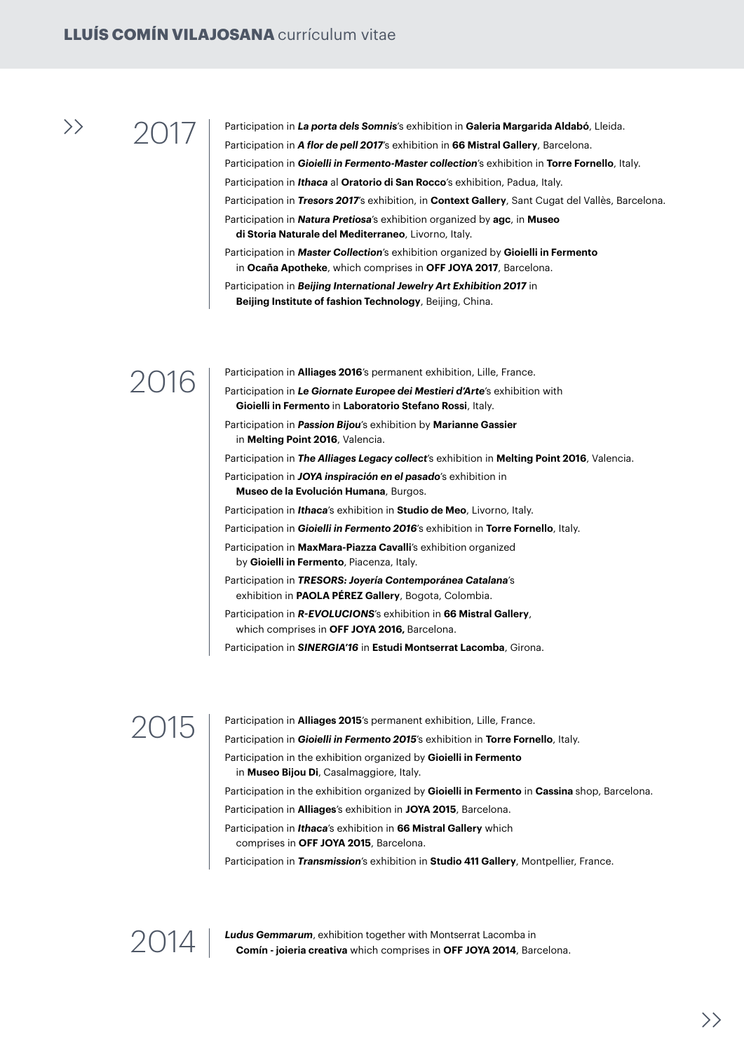2017 Participation in *La porta dels Somnis*'s exhibition in **Galeria Margarida Aldabó**, Lleida. Participation in *A flor de pell 2017*'s exhibition in **66 Mistral Gallery**, Barcelona. Participation in *Gioielli in Fermento-Master collection*'s exhibition in **Torre Fornello**, Italy. Participation in *Ithaca* al **Oratorio di San Rocco**'s exhibition, Padua, Italy. Participation in *Tresors 2017*'s exhibition, in **Context Gallery**, Sant Cugat del Vallès, Barcelona. Participation in *Natura Pretiosa*'s exhibition organized by **agc**, in **Museo di Storia Naturale del Mediterraneo**, Livorno, Italy. Participation in *Master Collection*'s exhibition organized by **Gioielli in Fermento** in **Ocaña Apotheke**, which comprises in **OFF JOYA 2017**, Barcelona.

Participation in *Beijing International Jewelry Art Exhibition 2017* in **Beijing Institute of fashion Technology**, Beijing, China.

### 2016

Participation in **Alliages 2016**'s permanent exhibition, Lille, France.

Participation in *Le Giornate Europee dei Mestieri d'Arte*'s exhibition with **Gioielli in Fermento** in **Laboratorio Stefano Rossi**, Italy.

Participation in *Passion Bijou*'s exhibition by **Marianne Gassier** in **Melting Point 2016**, Valencia.

Participation in *The Alliages Legacy collect*'s exhibition in **Melting Point 2016**, Valencia.

Participation in *JOYA inspiración en el pasado*'s exhibition in **Museo de la Evolución Humana**, Burgos.

Participation in *Ithaca*'s exhibition in **Studio de Meo**, Livorno, Italy.

Participation in *Gioielli in Fermento 2016*'s exhibition in **Torre Fornello**, Italy.

Participation in **MaxMara-Piazza Cavalli**'s exhibition organized by **Gioielli in Fermento**, Piacenza, Italy.

Participation in *TRESORS: Joyería Contemporánea Catalana*'s exhibition in **PAOLA PÉREZ Gallery**, Bogota, Colombia.

Participation in *R-EVOLUCIONS*'s exhibition in **66 Mistral Gallery**, which comprises in **OFF JOYA 2016,** Barcelona.

Participation in *SINERGIA'16* in **Estudi Montserrat Lacomba**, Girona.

2015 Participation in **Alliages 2015**'s permanent exhibition, Lille, France.

Participation in *Gioielli in Fermento 2015*'s exhibition in **Torre Fornello**, Italy.

Participation in the exhibition organized by **Gioielli in Fermento**

in **Museo Bijou Di**, Casalmaggiore, Italy.

Participation in the exhibition organized by **Gioielli in Fermento** in **Cassina** shop, Barcelona.

Participation in **Alliages**'s exhibition in **JOYA 2015**, Barcelona.

Participation in *Ithaca*'s exhibition in **66 Mistral Gallery** which comprises in **OFF JOYA 2015**, Barcelona.

Participation in *Transmission*'s exhibition in **Studio 411 Gallery**, Montpellier, France.



2014 **Ludus Gemmarum**, exhibition together with Montserrat Lacomba in **Comín - joieria creativa** which comprises in **OFF JOYA 2014**, Barcelona.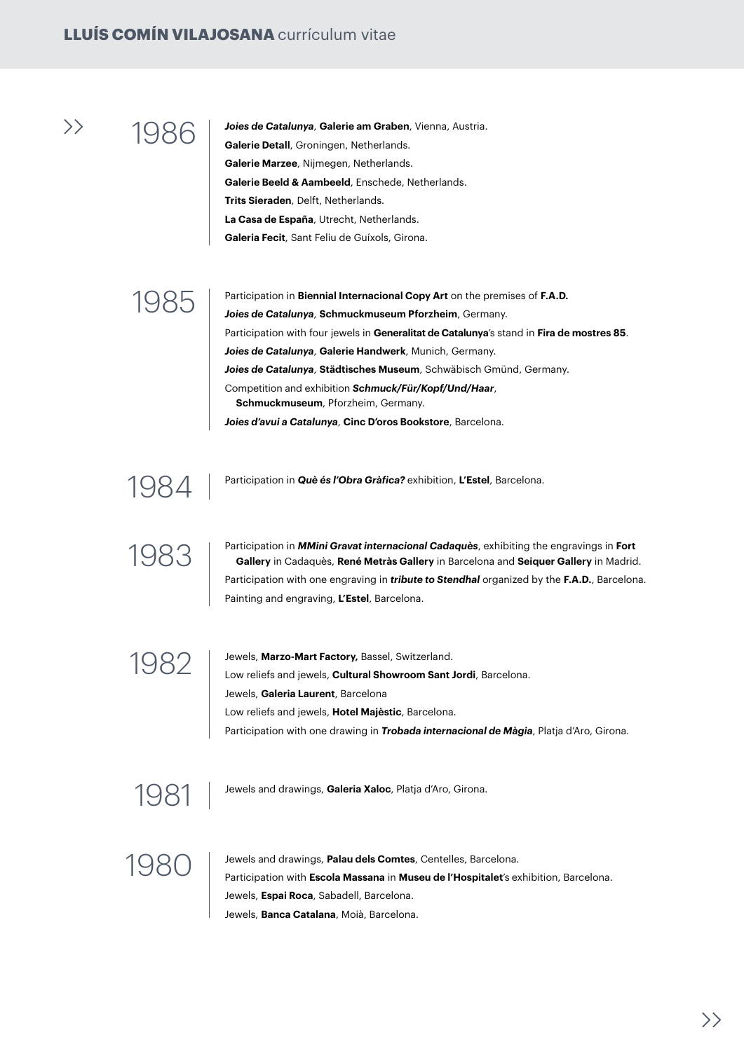1986 *Joies de Catalunya*, **Galerie am Graben**, Vienna, Austria. **Galerie Detall**, Groningen, Netherlands. **Galerie Marzee**, Nijmegen, Netherlands. **Galerie Beeld & Aambeeld**, Enschede, Netherlands. **Trits Sieraden**, Delft, Netherlands. **La Casa de España**, Utrecht, Netherlands. **Galeria Fecit**, Sant Feliu de Guíxols, Girona.

1985 Participation in **Biennial Internacional Copy Art** on the premises of **F.A.D.**<br>Rejected Catalunya, Sohmuskmuseum Pforzheim, Germany *Joies de Catalunya*, **Schmuckmuseum Pforzheim**, Germany. Participation with four jewels in **Generalitat de Catalunya**'s stand in **Fira de mostres 85**. *Joies de Catalunya*, **Galerie Handwerk**, Munich, Germany. *Joies de Catalunya*, **Städtisches Museum**, Schwäbisch Gmünd, Germany. Competition and exhibition *Schmuck/Für/Kopf/Und/Haar*, **Schmuckmuseum**, Pforzheim, Germany. *Joies d'avui a Catalunya*, **Cinc D'oros Bookstore**, Barcelona.

Participation in *Què és l'Obra Gràfica?* exhibition, **L'Estel**, Barcelona.

1984

1983 Participation in *MMini Gravat internacional Cadaquès*, exhibiting the engravings in **Fort Gallery** in Cadaquès, **René Metràs Gallery** in Barcelona and **Seiquer Gallery** in Madrid. Participation with one engraving in *tribute to Stendhal* organized by the **F.A.D.**, Barcelona. Painting and engraving, **L'Estel**, Barcelona.

1982 | Jewels, Marzo-Mart Factory, Bassel, Switzerland.<br>Low reliefs and jewels, **Cultural Showroom Sant Jordi**, Barcelona. Jewels, **Galeria Laurent**, Barcelona Low reliefs and jewels, **Hotel Majèstic**, Barcelona. Participation with one drawing in *Trobada internacional de Màgia*, Platja d'Aro, Girona.

1981 Jewels and drawings, **Galeria Xaloc**, Platja d'Aro, Girona.

1980 Jewels and drawings, **Palau dels Comtes**, Centelles, Barcelona. Participation with **Escola Massana** in **Museu de l'Hospitalet**'s exhibition, Barcelona. Jewels, **Espai Roca**, Sabadell, Barcelona. Jewels, **Banca Catalana**, Moià, Barcelona.